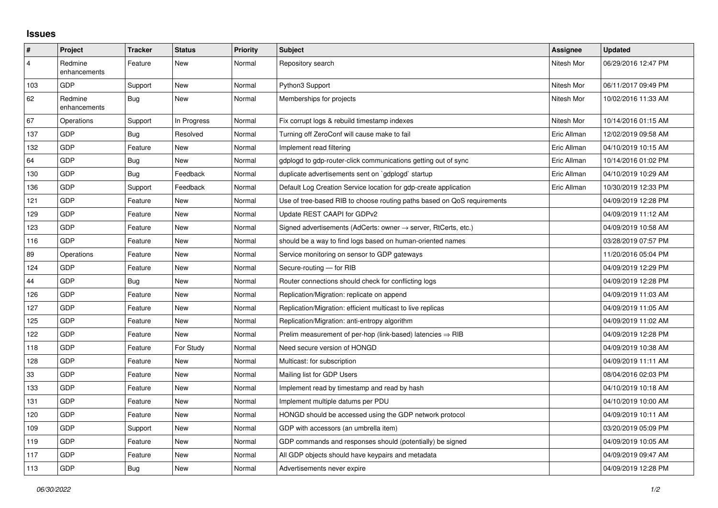## **Issues**

| $\vert$ #      | Project                 | <b>Tracker</b> | <b>Status</b> | Priority | <b>Subject</b>                                                             | <b>Assignee</b> | <b>Updated</b>      |
|----------------|-------------------------|----------------|---------------|----------|----------------------------------------------------------------------------|-----------------|---------------------|
| $\overline{4}$ | Redmine<br>enhancements | Feature        | <b>New</b>    | Normal   | Repository search                                                          | Nitesh Mor      | 06/29/2016 12:47 PM |
| 103            | <b>GDP</b>              | Support        | <b>New</b>    | Normal   | Python3 Support                                                            | Nitesh Mor      | 06/11/2017 09:49 PM |
| 62             | Redmine<br>enhancements | <b>Bug</b>     | New           | Normal   | Memberships for projects                                                   | Nitesh Mor      | 10/02/2016 11:33 AM |
| 67             | Operations              | Support        | In Progress   | Normal   | Fix corrupt logs & rebuild timestamp indexes                               | Nitesh Mor      | 10/14/2016 01:15 AM |
| 137            | <b>GDP</b>              | Bug            | Resolved      | Normal   | Turning off ZeroConf will cause make to fail                               | Eric Allman     | 12/02/2019 09:58 AM |
| 132            | <b>GDP</b>              | Feature        | <b>New</b>    | Normal   | Implement read filtering                                                   | Eric Allman     | 04/10/2019 10:15 AM |
| 64             | <b>GDP</b>              | Bug            | <b>New</b>    | Normal   | gdplogd to gdp-router-click communications getting out of sync             | Eric Allman     | 10/14/2016 01:02 PM |
| 130            | <b>GDP</b>              | Bug            | Feedback      | Normal   | duplicate advertisements sent on `gdplogd` startup                         | Eric Allman     | 04/10/2019 10:29 AM |
| 136            | GDP                     | Support        | Feedback      | Normal   | Default Log Creation Service location for gdp-create application           | Eric Allman     | 10/30/2019 12:33 PM |
| 121            | <b>GDP</b>              | Feature        | <b>New</b>    | Normal   | Use of tree-based RIB to choose routing paths based on QoS requirements    |                 | 04/09/2019 12:28 PM |
| 129            | <b>GDP</b>              | Feature        | <b>New</b>    | Normal   | Update REST CAAPI for GDPv2                                                |                 | 04/09/2019 11:12 AM |
| 123            | <b>GDP</b>              | Feature        | <b>New</b>    | Normal   | Signed advertisements (AdCerts: owner $\rightarrow$ server, RtCerts, etc.) |                 | 04/09/2019 10:58 AM |
| 116            | <b>GDP</b>              | Feature        | <b>New</b>    | Normal   | should be a way to find logs based on human-oriented names                 |                 | 03/28/2019 07:57 PM |
| 89             | Operations              | Feature        | New           | Normal   | Service monitoring on sensor to GDP gateways                               |                 | 11/20/2016 05:04 PM |
| 124            | GDP                     | Feature        | <b>New</b>    | Normal   | Secure-routing - for RIB                                                   |                 | 04/09/2019 12:29 PM |
| 44             | <b>GDP</b>              | Bug            | <b>New</b>    | Normal   | Router connections should check for conflicting logs                       |                 | 04/09/2019 12:28 PM |
| 126            | <b>GDP</b>              | Feature        | <b>New</b>    | Normal   | Replication/Migration: replicate on append                                 |                 | 04/09/2019 11:03 AM |
| 127            | <b>GDP</b>              | Feature        | <b>New</b>    | Normal   | Replication/Migration: efficient multicast to live replicas                |                 | 04/09/2019 11:05 AM |
| 125            | <b>GDP</b>              | Feature        | <b>New</b>    | Normal   | Replication/Migration: anti-entropy algorithm                              |                 | 04/09/2019 11:02 AM |
| 122            | <b>GDP</b>              | Feature        | New           | Normal   | Prelim measurement of per-hop (link-based) latencies $\Rightarrow$ RIB     |                 | 04/09/2019 12:28 PM |
| 118            | <b>GDP</b>              | Feature        | For Study     | Normal   | Need secure version of HONGD                                               |                 | 04/09/2019 10:38 AM |
| 128            | <b>GDP</b>              | Feature        | <b>New</b>    | Normal   | Multicast: for subscription                                                |                 | 04/09/2019 11:11 AM |
| $33\,$         | GDP                     | Feature        | <b>New</b>    | Normal   | Mailing list for GDP Users                                                 |                 | 08/04/2016 02:03 PM |
| 133            | GDP                     | Feature        | <b>New</b>    | Normal   | Implement read by timestamp and read by hash                               |                 | 04/10/2019 10:18 AM |
| 131            | <b>GDP</b>              | Feature        | <b>New</b>    | Normal   | Implement multiple datums per PDU                                          |                 | 04/10/2019 10:00 AM |
| 120            | <b>GDP</b>              | Feature        | <b>New</b>    | Normal   | HONGD should be accessed using the GDP network protocol                    |                 | 04/09/2019 10:11 AM |
| 109            | <b>GDP</b>              | Support        | <b>New</b>    | Normal   | GDP with accessors (an umbrella item)                                      |                 | 03/20/2019 05:09 PM |
| 119            | GDP                     | Feature        | <b>New</b>    | Normal   | GDP commands and responses should (potentially) be signed                  |                 | 04/09/2019 10:05 AM |
| 117            | <b>GDP</b>              | Feature        | <b>New</b>    | Normal   | All GDP objects should have keypairs and metadata                          |                 | 04/09/2019 09:47 AM |
| 113            | <b>GDP</b>              | <b>Bug</b>     | <b>New</b>    | Normal   | Advertisements never expire                                                |                 | 04/09/2019 12:28 PM |